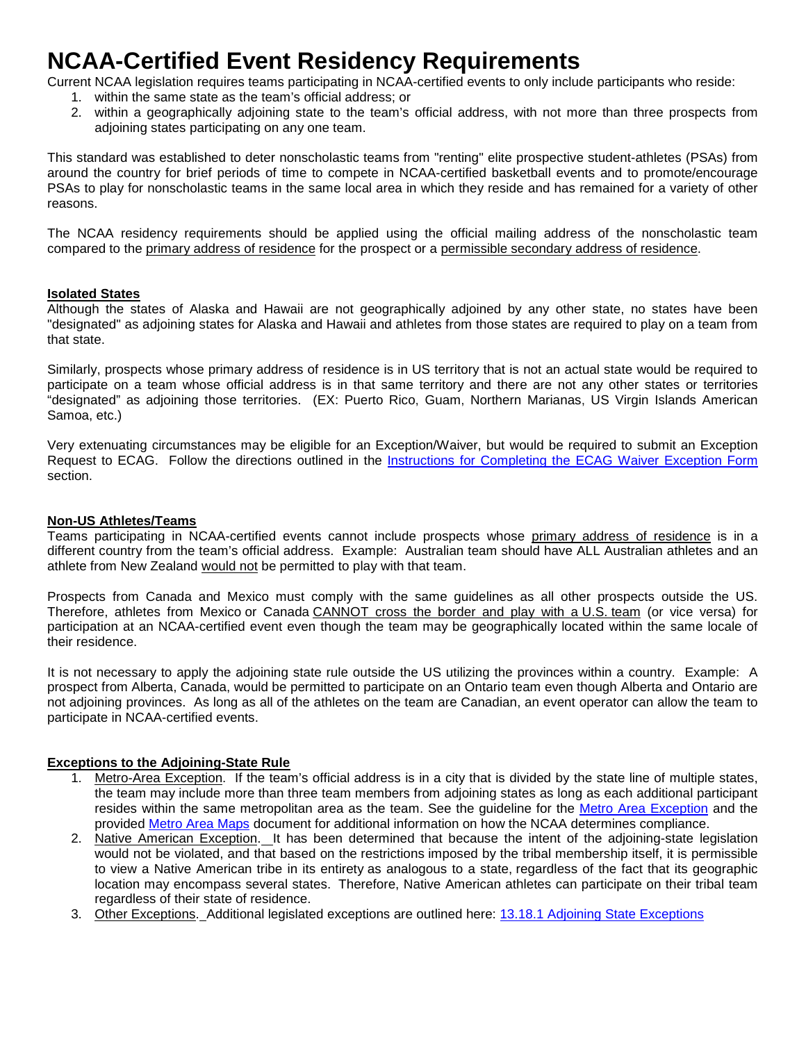# **NCAA-Certified Event Residency Requirements**

Current NCAA legislation requires teams participating in NCAA-certified events to only include participants who reside:

- 1. within the same state as the team's official address; or
- 2. within a geographically adjoining state to the team's official address, with not more than three prospects from adjoining states participating on any one team.

This standard was established to deter nonscholastic teams from "renting" elite prospective student-athletes (PSAs) from around the country for brief periods of time to compete in NCAA-certified basketball events and to promote/encourage PSAs to play for nonscholastic teams in the same local area in which they reside and has remained for a variety of other reasons.

The NCAA residency requirements should be applied using the official mailing address of the nonscholastic team compared to the primary address of residence for the prospect or a permissible secondary address of residence.

# **Isolated States**

Although the states of Alaska and Hawaii are not geographically adjoined by any other state, no states have been "designated" as adjoining states for Alaska and Hawaii and athletes from those states are required to play on a team from that state.

Similarly, prospects whose primary address of residence is in US territory that is not an actual state would be required to participate on a team whose official address is in that same territory and there are not any other states or territories "designated" as adjoining those territories. (EX: Puerto Rico, Guam, Northern Marianas, US Virgin Islands American Samoa, etc.)

Very extenuating circumstances may be eligible for an Exception/Waiver, but would be required to submit an Exception Request to ECAG. Follow the directions outlined in the Instructions for Completing the ECAG Waiver Exception Form section.

# **Non-US Athletes/Teams**

Teams participating in NCAA-certified events cannot include prospects whose primary address of residence is in a different country from the team's official address. Example: Australian team should have ALL Australian athletes and an athlete from New Zealand would not be permitted to play with that team.

Prospects from Canada and Mexico must comply with the same guidelines as all other prospects outside the US. Therefore, athletes from Mexico or Canada CANNOT cross the border and play with a U.S. team (or vice versa) for participation at an NCAA-certified event even though the team may be geographically located within the same locale of their residence.

It is not necessary to apply the adjoining state rule outside the US utilizing the provinces within a country. Example: A prospect from Alberta, Canada, would be permitted to participate on an Ontario team even though Alberta and Ontario are not adjoining provinces. As long as all of the athletes on the team are Canadian, an event operator can allow the team to participate in NCAA-certified events.

# **Exceptions to the Adjoining-State Rule**

- 1. Metro-Area Exception. If the team's official address is in a city that is divided by the state line of multiple states, the team may include more than three team members from adjoining states as long as each additional participant resides within the same metropolitan area as the team. See the guideline for the [Metro Area Exception](http://www.ncaa.org/sites/default/files/Application%2Bof%2Bthe%2BMetro%2BArea%2BRule.pdf) and the provided [Metro Area Maps](http://www.ncaa.org/node/3056) document for additional information on how the NCAA determines compliance.
- 2. Native American Exception. It has been determined that because the intent of the adjoining-state legislation would not be violated, and that based on the restrictions imposed by the tribal membership itself, it is permissible to view a Native American tribe in its entirety as analogous to a state, regardless of the fact that its geographic location may encompass several states. Therefore, Native American athletes can participate on their tribal team regardless of their state of residence.
- 3. Other Exceptions. Additional legislated exceptions are outlined here: [13.18.1 Adjoining State Exceptions](https://web1.ncaa.org/LSDBi/exec/bylawSearch?bylawSearchSubmit=Get%20Selected%20Items&multiple=29916&division=1&adopted=0)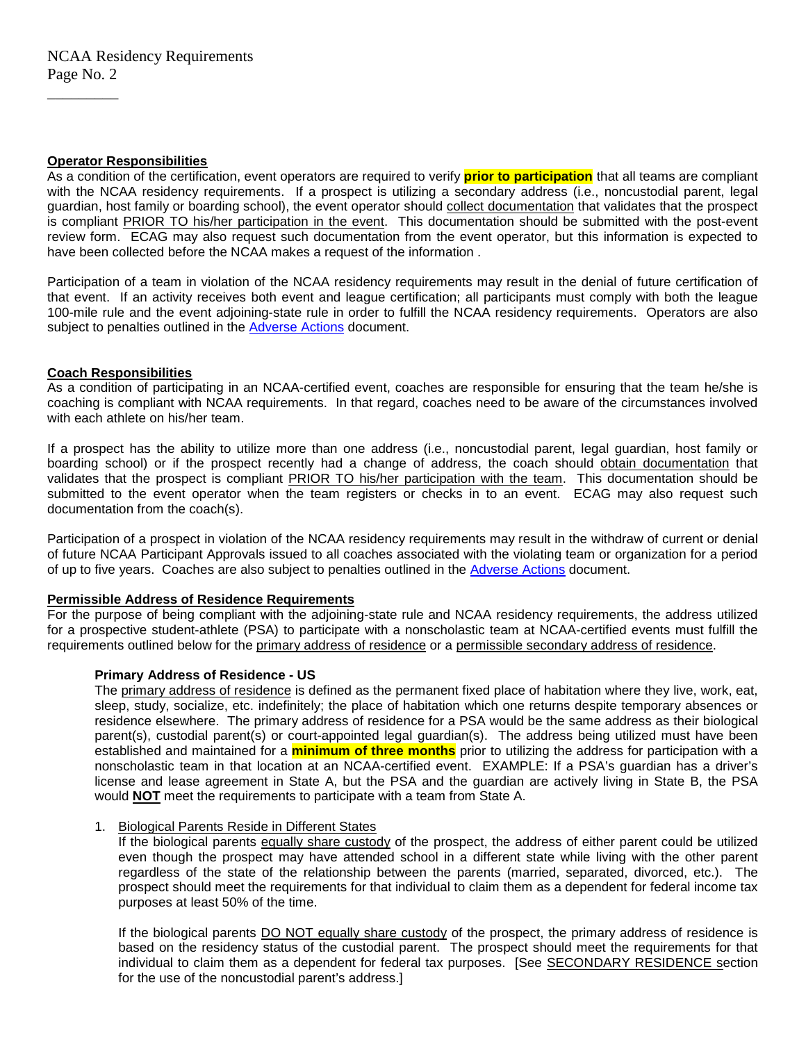## **Operator Responsibilities**

 $\overline{\phantom{a}}$  , where  $\overline{\phantom{a}}$ 

As a condition of the certification, event operators are required to verify **prior to participation** that all teams are compliant with the NCAA residency requirements. If a prospect is utilizing a secondary address (i.e., noncustodial parent, legal guardian, host family or boarding school), the event operator should collect documentation that validates that the prospect is compliant PRIOR TO his/her participation in the event. This documentation should be submitted with the post-event review form. ECAG may also request such documentation from the event operator, but this information is expected to have been collected before the NCAA makes a request of the information .

Participation of a team in violation of the NCAA residency requirements may result in the denial of future certification of that event. If an activity receives both event and league certification; all participants must comply with both the league 100-mile rule and the event adjoining-state rule in order to fulfill the NCAA residency requirements. Operators are also subject to penalties outlined in the Adverse Actions document.

# **Coach Responsibilities**

As a condition of participating in an NCAA-certified event, coaches are responsible for ensuring that the team he/she is coaching is compliant with NCAA requirements. In that regard, coaches need to be aware of the circumstances involved with each athlete on his/her team.

If a prospect has the ability to utilize more than one address (i.e., noncustodial parent, legal guardian, host family or boarding school) or if the prospect recently had a change of address, the coach should obtain documentation that validates that the prospect is compliant PRIOR TO his/her participation with the team. This documentation should be submitted to the event operator when the team registers or checks in to an event. ECAG may also request such documentation from the coach(s).

Participation of a prospect in violation of the NCAA residency requirements may result in the withdraw of current or denial of future NCAA Participant Approvals issued to all coaches associated with the violating team or organization for a period of up to five years. Coaches are also subject to penalties outlined in the Adverse Actions document.

## **Permissible Address of Residence Requirements**

For the purpose of being compliant with the adjoining-state rule and NCAA residency requirements, the address utilized for a prospective student-athlete (PSA) to participate with a nonscholastic team at NCAA-certified events must fulfill the requirements outlined below for the primary address of residence or a permissible secondary address of residence.

## **Primary Address of Residence - US**

The primary address of residence is defined as the permanent fixed place of habitation where they live, work, eat, sleep, study, socialize, etc. indefinitely; the place of habitation which one returns despite temporary absences or residence elsewhere. The primary address of residence for a PSA would be the same address as their biological parent(s), custodial parent(s) or court-appointed legal guardian(s). The address being utilized must have been established and maintained for a **minimum of three months** prior to utilizing the address for participation with a nonscholastic team in that location at an NCAA-certified event. EXAMPLE: If a PSA's guardian has a driver's license and lease agreement in State A, but the PSA and the guardian are actively living in State B, the PSA would **NOT** meet the requirements to participate with a team from State A.

## 1. Biological Parents Reside in Different States

If the biological parents equally share custody of the prospect, the address of either parent could be utilized even though the prospect may have attended school in a different state while living with the other parent regardless of the state of the relationship between the parents (married, separated, divorced, etc.). The prospect should meet the requirements for that individual to claim them as a dependent for federal income tax purposes at least 50% of the time.

If the biological parents DO NOT equally share custody of the prospect, the primary address of residence is based on the residency status of the custodial parent. The prospect should meet the requirements for that individual to claim them as a dependent for federal tax purposes. [See SECONDARY RESIDENCE section for the use of the noncustodial parent's address.]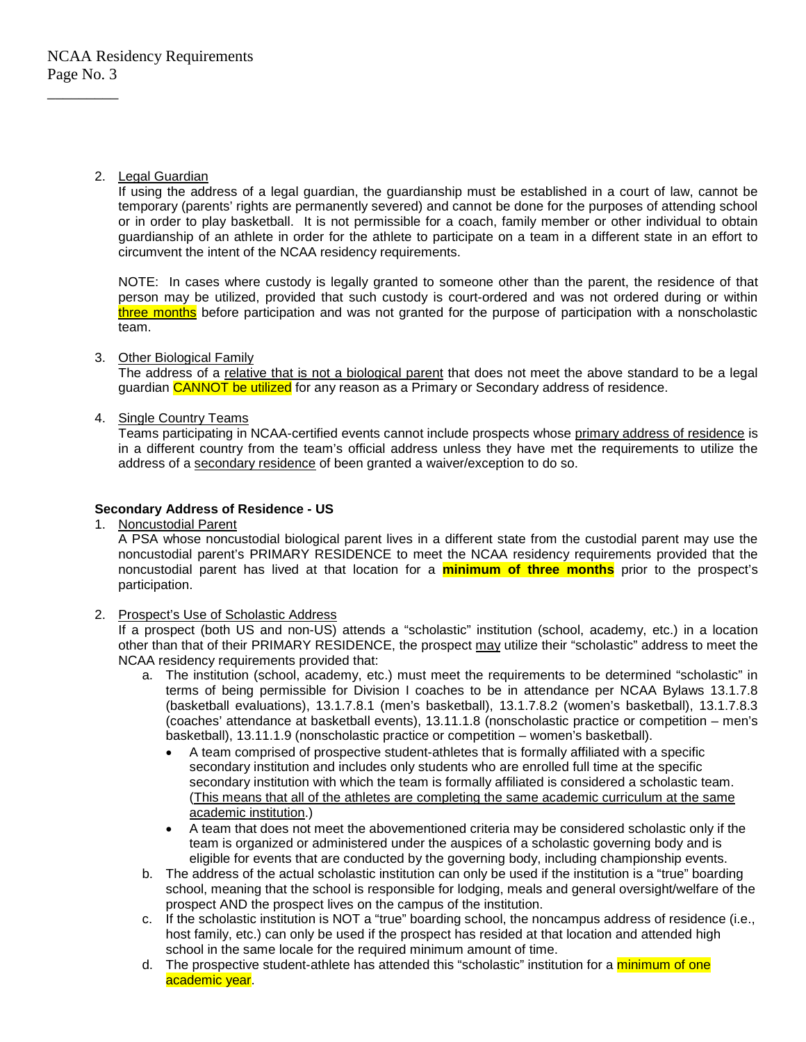# 2. Legal Guardian

If using the address of a legal guardian, the guardianship must be established in a court of law, cannot be temporary (parents' rights are permanently severed) and cannot be done for the purposes of attending school or in order to play basketball. It is not permissible for a coach, family member or other individual to obtain guardianship of an athlete in order for the athlete to participate on a team in a different state in an effort to circumvent the intent of the NCAA residency requirements.

NOTE: In cases where custody is legally granted to someone other than the parent, the residence of that person may be utilized, provided that such custody is court-ordered and was not ordered during or within three months before participation and was not granted for the purpose of participation with a nonscholastic team.

# 3. Other Biological Family

The address of a relative that is not a biological parent that does not meet the above standard to be a legal guardian CANNOT be utilized for any reason as a Primary or Secondary address of residence.

# 4. Single Country Teams

Teams participating in NCAA-certified events cannot include prospects whose primary address of residence is in a different country from the team's official address unless they have met the requirements to utilize the address of a secondary residence of been granted a waiver/exception to do so.

# **Secondary Address of Residence - US**

1. Noncustodial Parent

A PSA whose noncustodial biological parent lives in a different state from the custodial parent may use the noncustodial parent's PRIMARY RESIDENCE to meet the NCAA residency requirements provided that the noncustodial parent has lived at that location for a **minimum of three months** prior to the prospect's participation.

# 2. Prospect's Use of Scholastic Address

If a prospect (both US and non-US) attends a "scholastic" institution (school, academy, etc.) in a location other than that of their PRIMARY RESIDENCE, the prospect may utilize their "scholastic" address to meet the NCAA residency requirements provided that:

- a. The institution (school, academy, etc.) must meet the requirements to be determined "scholastic" in terms of being permissible for Division I coaches to be in attendance per NCAA Bylaws 13.1.7.8 (basketball evaluations), 13.1.7.8.1 (men's basketball), 13.1.7.8.2 (women's basketball), 13.1.7.8.3 (coaches' attendance at basketball events), 13.11.1.8 (nonscholastic practice or competition – men's basketball), 13.11.1.9 (nonscholastic practice or competition – women's basketball).
	- A team comprised of prospective student-athletes that is formally affiliated with a specific secondary institution and includes only students who are enrolled full time at the specific secondary institution with which the team is formally affiliated is considered a scholastic team. (This means that all of the athletes are completing the same academic curriculum at the same academic institution.)
	- A team that does not meet the abovementioned criteria may be considered scholastic only if the team is organized or administered under the auspices of a scholastic governing body and is eligible for events that are conducted by the governing body, including championship events.
- b. The address of the actual scholastic institution can only be used if the institution is a "true" boarding school, meaning that the school is responsible for lodging, meals and general oversight/welfare of the prospect AND the prospect lives on the campus of the institution.
- c. If the scholastic institution is NOT a "true" boarding school, the noncampus address of residence (i.e., host family, etc.) can only be used if the prospect has resided at that location and attended high school in the same locale for the required minimum amount of time.
- d. The prospective student-athlete has attended this "scholastic" institution for a *minimum of one* academic year.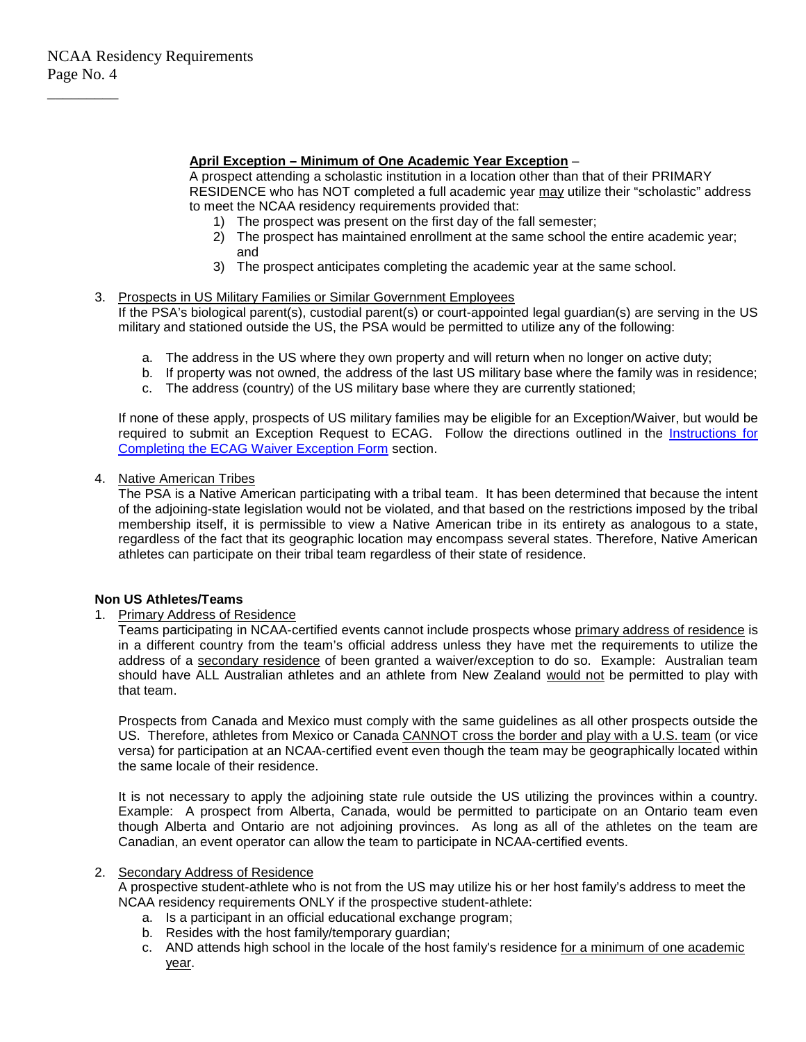## **April Exception – Minimum of One Academic Year Exception** –

A prospect attending a scholastic institution in a location other than that of their PRIMARY RESIDENCE who has NOT completed a full academic year may utilize their "scholastic" address to meet the NCAA residency requirements provided that:

- 1) The prospect was present on the first day of the fall semester;
- 2) The prospect has maintained enrollment at the same school the entire academic year; and
- 3) The prospect anticipates completing the academic year at the same school.
- 3. Prospects in US Military Families or Similar Government Employees If the PSA's biological parent(s), custodial parent(s) or court-appointed legal guardian(s) are serving in the US military and stationed outside the US, the PSA would be permitted to utilize any of the following:
	- a. The address in the US where they own property and will return when no longer on active duty;
	- b. If property was not owned, the address of the last US military base where the family was in residence;
	- c. The address (country) of the US military base where they are currently stationed;

If none of these apply, prospects of US military families may be eligible for an Exception/Waiver, but would be required to submit an Exception Request to ECAG. Follow the directions outlined in the Instructions for Completing the ECAG Waiver Exception Form section.

4. Native American Tribes

The PSA is a Native American participating with a tribal team. It has been determined that because the intent of the adjoining-state legislation would not be violated, and that based on the restrictions imposed by the tribal membership itself, it is permissible to view a Native American tribe in its entirety as analogous to a state, regardless of the fact that its geographic location may encompass several states. Therefore, Native American athletes can participate on their tribal team regardless of their state of residence.

## **Non US Athletes/Teams**

## 1. Primary Address of Residence

Teams participating in NCAA-certified events cannot include prospects whose primary address of residence is in a different country from the team's official address unless they have met the requirements to utilize the address of a secondary residence of been granted a waiver/exception to do so. Example: Australian team should have ALL Australian athletes and an athlete from New Zealand would not be permitted to play with that team.

Prospects from Canada and Mexico must comply with the same guidelines as all other prospects outside the US. Therefore, athletes from Mexico or Canada CANNOT cross the border and play with a U.S. team (or vice versa) for participation at an NCAA-certified event even though the team may be geographically located within the same locale of their residence.

It is not necessary to apply the adjoining state rule outside the US utilizing the provinces within a country. Example: A prospect from Alberta, Canada, would be permitted to participate on an Ontario team even though Alberta and Ontario are not adjoining provinces. As long as all of the athletes on the team are Canadian, an event operator can allow the team to participate in NCAA-certified events.

## 2. Secondary Address of Residence

A prospective student-athlete who is not from the US may utilize his or her host family's address to meet the NCAA residency requirements ONLY if the prospective student-athlete:

- a. Is a participant in an official educational exchange program;
- b. Resides with the host family/temporary guardian;
- c. AND attends high school in the locale of the host family's residence for a minimum of one academic year.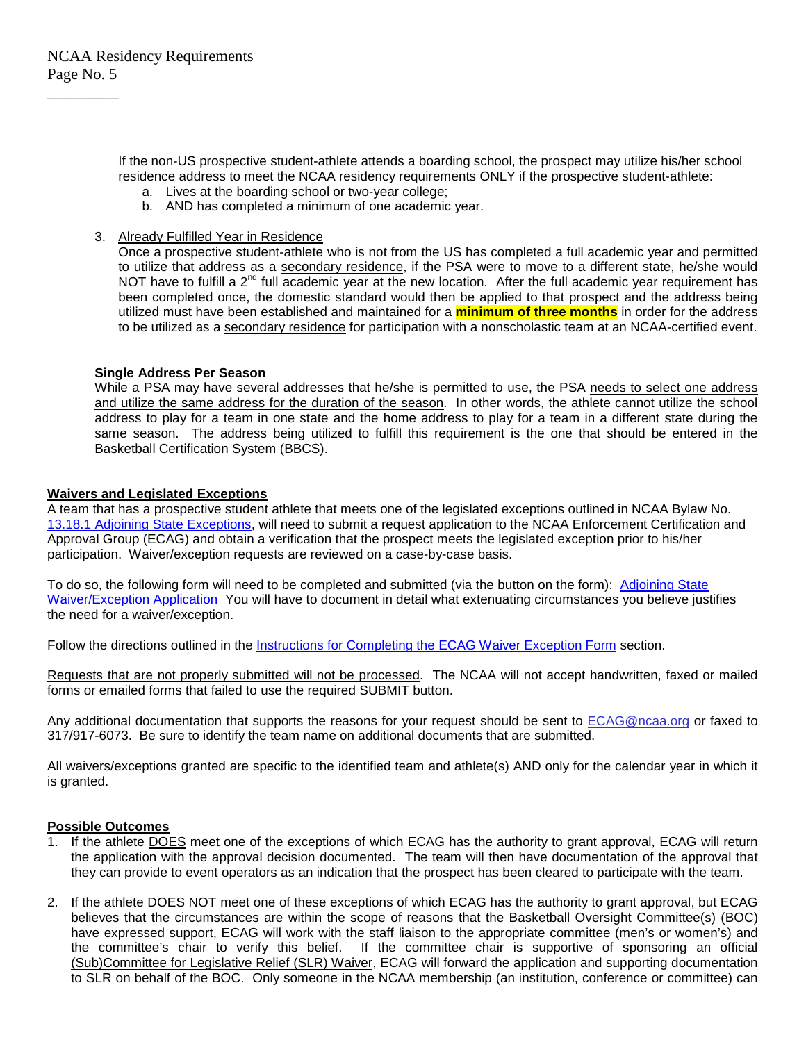If the non-US prospective student-athlete attends a boarding school, the prospect may utilize his/her school residence address to meet the NCAA residency requirements ONLY if the prospective student-athlete:

- a. Lives at the boarding school or two-year college;
- b. AND has completed a minimum of one academic year.
- 3. Already Fulfilled Year in Residence

Once a prospective student-athlete who is not from the US has completed a full academic year and permitted to utilize that address as a secondary residence, if the PSA were to move to a different state, he/she would NOT have to fulfill a 2<sup>nd</sup> full academic year at the new location. After the full academic year requirement has been completed once, the domestic standard would then be applied to that prospect and the address being utilized must have been established and maintained for a **minimum of three months** in order for the address to be utilized as a secondary residence for participation with a nonscholastic team at an NCAA-certified event.

#### **Single Address Per Season**

While a PSA may have several addresses that he/she is permitted to use, the PSA needs to select one address and utilize the same address for the duration of the season. In other words, the athlete cannot utilize the school address to play for a team in one state and the home address to play for a team in a different state during the same season. The address being utilized to fulfill this requirement is the one that should be entered in the Basketball Certification System (BBCS).

#### **Waivers and Legislated Exceptions**

A team that has a prospective student athlete that meets one of the legislated exceptions outlined in NCAA Bylaw No. [13.18.1 Adjoining State Exceptions,](https://web1.ncaa.org/LSDBi/exec/bylawSearch?bylawSearchSubmit=Get%20Selected%20Items&multiple=29916&division=1&adopted=0) will need to submit a request application to the NCAA Enforcement Certification and Approval Group (ECAG) and obtain a verification that the prospect meets the legislated exception prior to his/her participation. Waiver/exception requests are reviewed on a case-by-case basis.

To do so, the following form will need to be completed and submitted (via the button on the form): [Adjoining](http://www.ncaa.org/sites/default/files/Legislation_Waiver_2012_AdjStateWaiverExceptionsApplicationForm_distributed.pdf) State [Waiver/Exception](http://www.ncaa.org/sites/default/files/Legislation_Waiver_2012_AdjStateWaiverExceptionsApplicationForm_distributed.pdf) Application You will have to document in detail what extenuating circumstances you believe justifies the need for a waiver/exception.

Follow the directions outlined in the Instructions for Completing the ECAG Waiver Exception Form section.

Requests that are not properly submitted will not be processed. The NCAA will not accept handwritten, faxed or mailed forms or emailed forms that failed to use the required SUBMIT button.

Any additional documentation that supports the reasons for your request should be sent to ECAG@ncaa.org or faxed to 317/917-6073. Be sure to identify the team name on additional documents that are submitted.

All waivers/exceptions granted are specific to the identified team and athlete(s) AND only for the calendar year in which it is granted.

#### **Possible Outcomes**

- 1. If the athlete DOES meet one of the exceptions of which ECAG has the authority to grant approval, ECAG will return the application with the approval decision documented. The team will then have documentation of the approval that they can provide to event operators as an indication that the prospect has been cleared to participate with the team.
- 2. If the athlete DOES NOT meet one of these exceptions of which ECAG has the authority to grant approval, but ECAG believes that the circumstances are within the scope of reasons that the Basketball Oversight Committee(s) (BOC) have expressed support, ECAG will work with the staff liaison to the appropriate committee (men's or women's) and the committee's chair to verify this belief. If the committee chair is supportive of sponsoring an official (Sub)Committee for Legislative Relief (SLR) Waiver, ECAG will forward the application and supporting documentation to SLR on behalf of the BOC. Only someone in the NCAA membership (an institution, conference or committee) can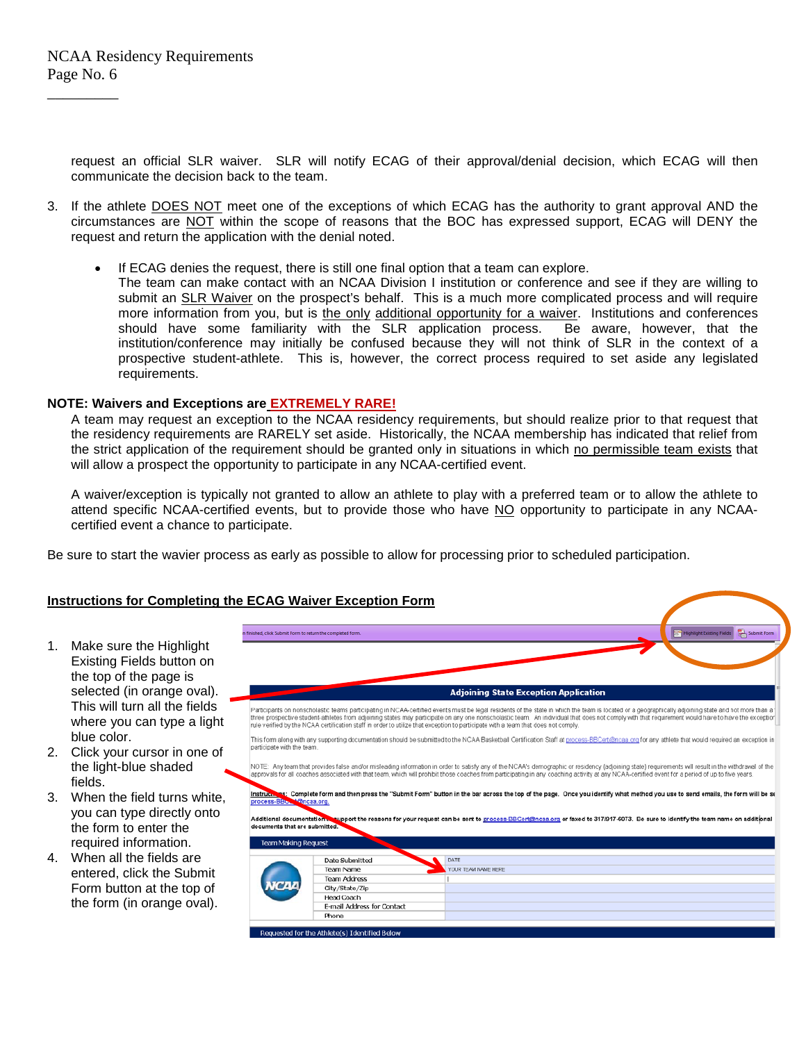request an official SLR waiver. SLR will notify ECAG of their approval/denial decision, which ECAG will then communicate the decision back to the team.

- 3. If the athlete DOES NOT meet one of the exceptions of which ECAG has the authority to grant approval AND the circumstances are NOT within the scope of reasons that the BOC has expressed support, ECAG will DENY the request and return the application with the denial noted.
	- If ECAG denies the request, there is still one final option that a team can explore.
		- The team can make contact with an NCAA Division I institution or conference and see if they are willing to submit an SLR Waiver on the prospect's behalf. This is a much more complicated process and will require more information from you, but is the only additional opportunity for a waiver. Institutions and conferences should have some familiarity with the SLR application process. Be aware, however, that the should have some familiarity with the SLR application process. institution/conference may initially be confused because they will not think of SLR in the context of a prospective student-athlete. This is, however, the correct process required to set aside any legislated requirements.

# **NOTE: Waivers and Exceptions are EXTREMELY RARE!**

A team may request an exception to the NCAA residency requirements, but should realize prior to that request that the residency requirements are RARELY set aside. Historically, the NCAA membership has indicated that relief from the strict application of the requirement should be granted only in situations in which no permissible team exists that will allow a prospect the opportunity to participate in any NCAA-certified event.

A waiver/exception is typically not granted to allow an athlete to play with a preferred team or to allow the athlete to attend specific NCAA-certified events, but to provide those who have NO opportunity to participate in any NCAAcertified event a chance to participate.

Be sure to start the wavier process as early as possible to allow for processing prior to scheduled participation.

# **Instructions for Completing the ECAG Waiver Exception Form**

- 1. Make sure the Highlight Existing Fields button on the top of the page is selected (in orange oval). This will turn all the fields where you can type a light blue color.
- 2. Click your cursor in one of the light-blue shaded fields.
- 3. When the field turns white, you can type directly onto the form to enter the required information.
- 4. When all the fields are entered, click the Submit Form button at the top of the form (in orange oval).

|                                                                                                                                                                                                                                                                                                                                                                                                                                                                                                                                                | Submit Form<br>Highlight Existing Fields |                                                                                                                                                                                                                                                                                                                                                                                                         |  |
|------------------------------------------------------------------------------------------------------------------------------------------------------------------------------------------------------------------------------------------------------------------------------------------------------------------------------------------------------------------------------------------------------------------------------------------------------------------------------------------------------------------------------------------------|------------------------------------------|---------------------------------------------------------------------------------------------------------------------------------------------------------------------------------------------------------------------------------------------------------------------------------------------------------------------------------------------------------------------------------------------------------|--|
|                                                                                                                                                                                                                                                                                                                                                                                                                                                                                                                                                |                                          |                                                                                                                                                                                                                                                                                                                                                                                                         |  |
|                                                                                                                                                                                                                                                                                                                                                                                                                                                                                                                                                |                                          |                                                                                                                                                                                                                                                                                                                                                                                                         |  |
|                                                                                                                                                                                                                                                                                                                                                                                                                                                                                                                                                |                                          | <b>Adjoining State Exception Application</b>                                                                                                                                                                                                                                                                                                                                                            |  |
| Participants on nonscholastic teams participating in NCAA-certified events must be legal residents of the state in which the team is located or a geographically adjoining state and not more than a<br>three prospective student-athletes from adjoining states may participate on any one nonscholastic team. An individual that does not comply with that requirement would have to have the exceptior<br>rule verified by the NCAA certification staff in order to utilize that exception to participate with a team that does not comply. |                                          |                                                                                                                                                                                                                                                                                                                                                                                                         |  |
| This form along with any supporting documentation should be submitted to the NCAA Basketball Certification Staff at process-BBCert@ncaa.org for any athlete that would required an exception in<br>participate with the team.                                                                                                                                                                                                                                                                                                                  |                                          |                                                                                                                                                                                                                                                                                                                                                                                                         |  |
|                                                                                                                                                                                                                                                                                                                                                                                                                                                                                                                                                |                                          | NOTE: Any team that provides false and/or misleading information in order to satisfy any of the NCAA's demographic or residency (adjoining state) requirements will result in the withdrawal of the<br>approvals for all coaches associated with that team, which will prohibit those coaches from participating in any coaching activity at any NCAA-certified event for a period of up to five years. |  |
| process-BBC Cincaa.org.                                                                                                                                                                                                                                                                                                                                                                                                                                                                                                                        |                                          | Instructions: Complete form and then press the "Submit Form" button in the bar across the top of the page. Once you identify what method you use to send emails, the form will be se<br>Additional documentation. support the reasons for your request can be sent to process-BBCert@ncaa.org or faxed to 317/917-6073. Be sure to identify the team name on additional                                 |  |
|                                                                                                                                                                                                                                                                                                                                                                                                                                                                                                                                                |                                          |                                                                                                                                                                                                                                                                                                                                                                                                         |  |
| <b>Team Making Request</b>                                                                                                                                                                                                                                                                                                                                                                                                                                                                                                                     |                                          |                                                                                                                                                                                                                                                                                                                                                                                                         |  |
|                                                                                                                                                                                                                                                                                                                                                                                                                                                                                                                                                | Date Submitted                           | DATE                                                                                                                                                                                                                                                                                                                                                                                                    |  |
|                                                                                                                                                                                                                                                                                                                                                                                                                                                                                                                                                | Team Name                                | YOUR TEAM NAME HERE                                                                                                                                                                                                                                                                                                                                                                                     |  |
|                                                                                                                                                                                                                                                                                                                                                                                                                                                                                                                                                | <b>Team Address</b>                      |                                                                                                                                                                                                                                                                                                                                                                                                         |  |
|                                                                                                                                                                                                                                                                                                                                                                                                                                                                                                                                                | City/State/Zip                           |                                                                                                                                                                                                                                                                                                                                                                                                         |  |
|                                                                                                                                                                                                                                                                                                                                                                                                                                                                                                                                                | Head Coach                               |                                                                                                                                                                                                                                                                                                                                                                                                         |  |
| documents that are submitted.                                                                                                                                                                                                                                                                                                                                                                                                                                                                                                                  | <b>E-mail Address for Contact</b>        |                                                                                                                                                                                                                                                                                                                                                                                                         |  |